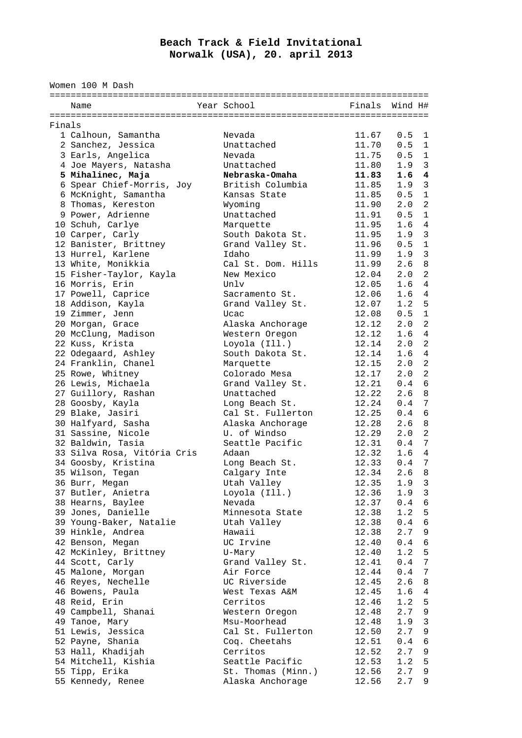## **Beach Track & Field Invitational Norwalk (USA), 20. april 2013**

Women 100 M Dash

|        | Name                        | Year School        | Finals Wind H# |                  |                 |
|--------|-----------------------------|--------------------|----------------|------------------|-----------------|
|        |                             |                    |                |                  |                 |
| Finals |                             |                    |                |                  |                 |
|        | 1 Calhoun, Samantha         | Nevada             | 11.67          | 0.5              | 1               |
|        | 2 Sanchez, Jessica          | Unattached         | 11.70          | 0.5              | 1               |
|        | 3 Earls, Angelica           | Nevada             | 11.75          | 0.5              | $\overline{1}$  |
|        |                             |                    |                |                  |                 |
|        | 4 Joe Mayers, Natasha       | Unattached         | 11.80          | 1.9              | $\overline{3}$  |
|        | 5 Mihalinec, Maja           | Nebraska-Omaha     | 11.83          | 1.64             |                 |
|        | 6 Spear Chief-Morris, Joy   | British Columbia   | 11.85          | 1.9 <sup>3</sup> |                 |
|        | 6 McKnight, Samantha        | Kansas State       | 11.85          | $0.5 \quad 1$    |                 |
|        | 8 Thomas, Kereston          | Wyoming            | 11.90          | $2.0$ 2          |                 |
|        | 9 Power, Adrienne           | Unattached         | 11.91          | 0.5              | $\mathbf{1}$    |
|        | 10 Schuh, Carlye            | Marquette          | 11.95          | 1.6              | 4               |
|        | 10 Carper, Carly            | South Dakota St.   | 11.95          | 1.9              | $\overline{3}$  |
|        | 12 Banister, Brittney       | Grand Valley St.   | 11.96          | 0.5              | $\mathbf{1}$    |
|        | 13 Hurrel, Karlene          | Idaho              | 11.99          | 1.9              | $\overline{3}$  |
|        | 13 White, Monikkia          | Cal St. Dom. Hills | 11.99          | 2.6              | 8               |
|        | 15 Fisher-Taylor, Kayla     | New Mexico         | 12.04          | 2.0              | 2               |
|        | 16 Morris, Erin             | Unlv               | 12.05          | 1.6              | $\overline{4}$  |
|        | 17 Powell, Caprice          | Sacramento St.     | 12.06          | 1.6              | 4               |
|        |                             |                    |                | 1.2              | 5               |
|        | 18 Addison, Kayla           | Grand Valley St.   | 12.07          |                  |                 |
|        | 19 Zimmer, Jenn             | Ucac               | 12.08          | 0.5              | $\mathbf{1}$    |
|        | 20 Morgan, Grace            | Alaska Anchorage   | 12.12          | 2.0              | 2               |
|        | 20 McClung, Madison         | Western Oregon     | 12.12          | 1.6              | $\overline{4}$  |
|        | 22 Kuss, Krista             | Loyola (Ill.)      | 12.14          | 2.0              | $\overline{2}$  |
|        | 22 Odegaard, Ashley         | South Dakota St.   | 12.14          | 1.64             |                 |
|        | 24 Franklin, Chanel         | Marquette          | 12.15          | $2.0$ 2          |                 |
|        | 25 Rowe, Whitney            | Colorado Mesa      | 12.17          | 2.0              | $\overline{2}$  |
|        | 26 Lewis, Michaela          | Grand Valley St.   | 12.21          | 0.4              | 6               |
|        | 27 Guillory, Rashan         | Unattached         | 12.22          | 2.6              | 8               |
|        | 28 Goosby, Kayla            | Long Beach St.     | 12.24          | 0.4              | 7               |
|        | 29 Blake, Jasiri            | Cal St. Fullerton  | 12.25          | 0.4              | 6               |
|        | 30 Halfyard, Sasha          | Alaska Anchorage   | 12.28          | 2.6              | 8               |
|        | 31 Sassine, Nicole          | U. of Windso       | 12.29          | 2.0              | 2               |
|        | 32 Baldwin, Tasia           | Seattle Pacific    | 12.31          | 0.4              | 7               |
|        | 33 Silva Rosa, Vitória Cris | Adaan              | 12.32          | 1.64             |                 |
|        |                             |                    |                | $0.4 \quad 7$    |                 |
|        | 34 Goosby, Kristina         | Long Beach St.     | 12.33          |                  |                 |
|        | 35 Wilson, Tegan            | Calgary Inte       | 12.34          | 2.6              | 8               |
|        | 36 Burr, Megan              | Utah Valley        | 12.35          | 1.9              | 3               |
|        | 37 Butler, Anietra          | Loyola (Ill.)      | 12.36          | 1.9 <sup>3</sup> |                 |
|        | 38 Hearns, Baylee           | Nevada             | 12.37          | 0.46             |                 |
|        | 39 Jones, Danielle          | Minnesota State    | 12.38          | 1.2 <sub>5</sub> |                 |
|        | 39 Young-Baker, Natalie     | Utah Valley        | 12.38          | 0.4              | $\sqrt{6}$      |
|        | 39 Hinkle, Andrea           | Hawaii             | 12.38          | 2.7              | 9               |
|        | 42 Benson, Megan            | UC Irvine          | 12.40          | 0.4              | 6               |
|        | 42 McKinley, Brittney       | U-Mary             | 12.40          | 1.2              | 5               |
|        | 44 Scott, Carly             | Grand Valley St.   | 12.41          | 0.4              | $7\phantom{.0}$ |
|        | 45 Malone, Morgan           | Air Force          | 12.44          | 0.4              | 7               |
|        | 46 Reyes, Nechelle          | UC Riverside       | 12.45          | 2.6              | 8               |
|        | 46 Bowens, Paula            | West Texas A&M     | 12.45          | 1.6              | 4               |
|        | 48 Reid, Erin               | Cerritos           | 12.46          | 1.2              | 5               |
|        |                             |                    |                | 2.7              |                 |
|        | 49 Campbell, Shanai         | Western Oregon     | 12.48          |                  | $\,9$           |
|        | 49 Tanoe, Mary              | Msu-Moorhead       | 12.48          | 1.9              | $\mathbf{3}$    |
|        | 51 Lewis, Jessica           | Cal St. Fullerton  | 12.50          | 2.7              | 9               |
|        | 52 Payne, Shania            | Coq. Cheetahs      | 12.51          | 0.4              | 6               |
|        | 53 Hall, Khadijah           | Cerritos           | 12.52          | 2.7              | 9               |
|        | 54 Mitchell, Kishia         | Seattle Pacific    | 12.53          | 1.2              | 5               |
|        | 55 Tipp, Erika              | St. Thomas (Minn.) | 12.56          | 2.7              | 9               |
|        | 55 Kennedy, Renee           | Alaska Anchorage   | 12.56          | 2.7              | 9               |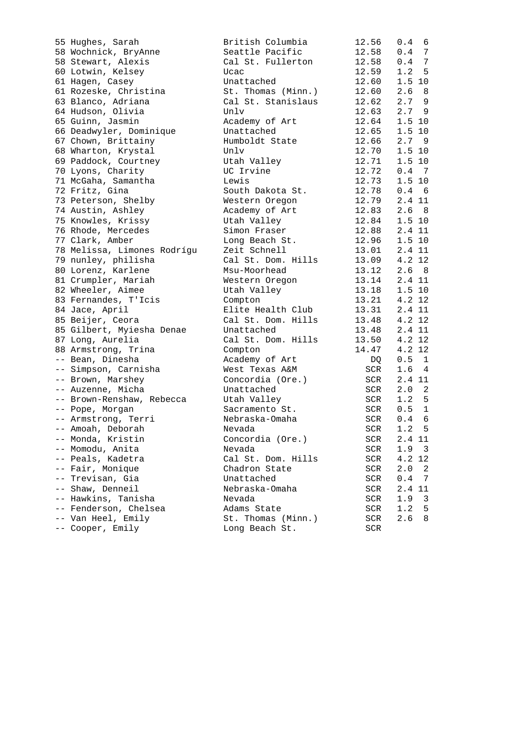| 55 Hughes, Sarah            | British Columbia   | 12.56      |
|-----------------------------|--------------------|------------|
| 58 Wochnick, BryAnne        | Seattle Pacific    | 12.58      |
| 58 Stewart, Alexis          | Cal St. Fullerton  | 12.58      |
| 60 Lotwin, Kelsey           | Ucac               | 12.59      |
| 61 Hagen, Casey             | Unattached         | 12.60      |
| 61 Rozeske, Christina       | St. Thomas (Minn.) | 12.60      |
| 63 Blanco, Adriana          | Cal St. Stanislaus | 12.62      |
| 64 Hudson, Olivia           | Unlv               | 12.63      |
| 65 Guinn, Jasmin            | Academy of Art     | 12.64      |
| 66 Deadwyler, Dominique     | Unattached         | 12.65      |
| 67 Chown, Brittainy         | Humboldt State     | 12.66      |
| 68 Wharton, Krystal         | Unlv               | 12.70      |
| 69 Paddock, Courtney        | Utah Valley        | 12.71      |
| 70 Lyons, Charity           | UC Irvine          | 12.72      |
| 71 McGaha, Samantha         | Lewis              | 12.73      |
| 72 Fritz, Gina              | South Dakota St.   | 12.78      |
| 73 Peterson, Shelby         | Western Oregon     | 12.79      |
| 74 Austin, Ashley           | Academy of Art     | 12.83      |
| 75 Knowles, Krissy          | Utah Valley        | 12.84      |
| 76 Rhode, Mercedes          | Simon Fraser       | 12.88      |
| 77 Clark, Amber             | Long Beach St.     | 12.96      |
| 78 Melissa, Limones Rodrígu | Zeit Schnell       | 13.01      |
| 79 nunley, philisha         | Cal St. Dom. Hills | 13.09      |
| 80 Lorenz, Karlene          | Msu-Moorhead       | 13.12      |
| 81 Crumpler, Mariah         |                    | 13.14      |
|                             | Western Oregon     |            |
| 82 Wheeler, Aimee           | Utah Valley        | 13.18      |
| 83 Fernandes, T'Icis        | Compton            | 13.21      |
| 84 Jace, April              | Elite Health Club  | 13.31      |
| 85 Beijer, Ceora            | Cal St. Dom. Hills | 13.48      |
| 85 Gilbert, Myiesha Denae   | Unattached         | 13.48      |
| 87 Long, Aurelia            | Cal St. Dom. Hills | 13.50      |
| 88 Armstrong, Trina         | Compton            | 14.47      |
| -- Bean, Dinesha            | Academy of Art     | DQ         |
| -- Simpson, Carnisha        | West Texas A&M     | SCR        |
| -- Brown, Marshey           | Concordia (Ore.)   | SCR        |
| -- Auzenne, Micha           | Unattached         | SCR        |
| -- Brown-Renshaw, Rebecca   | Utah Valley        | <b>SCR</b> |
| -- Pope, Morgan             | Sacramento St.     | SCR        |
| -- Armstrong, Terri         | Nebraska-Omaha     | SCR        |
| -- Amoah, Deborah           | Nevada             | <b>SCR</b> |
| -- Monda, Kristin           | Concordia (Ore.)   | SCR        |
| -- Momodu, Anita            | Nevada             | SCR        |
| -- Peals, Kadetra           | Cal St. Dom. Hills | SCR        |
| -- Fair, Monique            | Chadron State      | SCR        |
| -- Trevisan, Gia            | Unattached         | SCR        |
| -- Shaw, Denneil            | Nebraska-Omaha     | SCR        |
| -- Hawkins, Tanisha         | Nevada             | SCR        |
| -- Fenderson, Chelsea       | Adams State        | SCR        |
| -- Van Heel, Emily          | St. Thomas (Minn.) | SCR        |
| -- Cooper, Emily            | Long Beach St.     | SCR        |

| 55 Hughes, Sarah            | British Columbia             | 12.56      | $0.4 \quad 6$    |
|-----------------------------|------------------------------|------------|------------------|
| 58 Wochnick, BryAnne        | Seattle Pacific              | 12.58      | $0.4$ 7          |
| 58 Stewart, Alexis          | Cal St. Fullerton            | 12.58      | $0.4$ 7          |
| 60 Lotwin, Kelsey           | Ucac                         | 12.59      | 1.2 <sub>5</sub> |
| 61 Hagen, Casey             | Unattached                   | 12.60      | 1.5 10           |
| 61 Rozeske, Christina       | St. Thomas (Minn.)           | 12.60      | 2.6 <sub>8</sub> |
| 63 Blanco, Adriana          | Cal St. Stanislaus           | 12.62      | 2.79             |
| 64 Hudson, Olivia           | Unlv                         | 12.63      | 2.79             |
| 65 Guinn, Jasmin            | Academy of Art               | 12.64      | 1.5 10           |
| 66 Deadwyler, Dominique     | Unattached                   | 12.65      | $1.5$ 10         |
| 67 Chown, Brittainy         | Humboldt State               | 12.66      | 2.79             |
| 68 Wharton, Krystal         | Unlv                         | 12.70      | 1.5 10           |
| 69 Paddock, Courtney        | Utah Valley                  | 12.71      | 1.5 10           |
| 70 Lyons, Charity           | UC Irvine                    | 12.72      | $0.4 \quad 7$    |
| 71 McGaha, Samantha         | Lewis                        | 12.73      | 1.5 10           |
| 72 Fritz, Gina              | South Dakota St.             | 12.78      | 0.46             |
| 73 Peterson, Shelby         | Western Oregon               | 12.79      | 2.4 11           |
| 74 Austin, Ashley           | Academy of Art               | 12.83      | 2.6 <sub>8</sub> |
| 75 Knowles, Krissy          | Utah Valley                  | 12.84      | 1.5 10           |
| 76 Rhode, Mercedes          | Simon Fraser                 | 12.88      | 2.4 11           |
| 77 Clark, Amber             | Long Beach St.               | 12.96      | 1.5 10           |
| 78 Melissa, Limones Rodrígu | Zeit Schnell                 | 13.01      | 2.4 11           |
| 79 nunley, philisha         | Cal St. Dom. Hills           | 13.09      | 4.2 12           |
| 80 Lorenz, Karlene          | Msu-Moorhead                 | 13.12      | 2.6 <sub>8</sub> |
| 81 Crumpler, Mariah         | Western Oregon               | 13.14      | 2.4 11           |
| 82 Wheeler, Aimee           |                              | 13.18      | $1.5$ 10         |
|                             | Utah Valley                  |            | 4.2 12           |
| 83 Fernandes, T'Icis        | Compton<br>Elite Health Club | 13.21      |                  |
| 84 Jace, April              |                              | 13.31      | 2.4 11           |
| 85 Beijer, Ceora            | Cal St. Dom. Hills           | 13.48      | 4.2 12           |
| 85 Gilbert, Myiesha Denae   | Unattached                   | 13.48      | 2.4 11           |
| 87 Long, Aurelia            | Cal St. Dom. Hills           | 13.50      | 4.2 12           |
| 88 Armstrong, Trina         | Compton                      | 14.47      | 4.2 12           |
| -- Bean, Dinesha            | Academy of Art               | DQ         | $0.5 \quad 1$    |
| -- Simpson, Carnisha        | West Texas A&M               | SCR        | 1.6 <sub>4</sub> |
| -- Brown, Marshey           | Concordia (Ore.)             | SCR        | 2.4 11           |
| -- Auzenne, Micha           | Unattached                   | SCR        | $2.0 \t2$        |
| -- Brown-Renshaw, Rebecca   | Utah Valley                  | SCR        | 1.2 <sub>5</sub> |
| -- Pope, Morgan             | Sacramento St.               | SCR        | $0.5 \quad 1$    |
| -- Armstrong, Terri         | Nebraska-Omaha               | <b>SCR</b> | 0.46             |
| -- Amoah, Deborah           | Nevada                       | SCR        | 1.2 <sub>5</sub> |
| -- Monda, Kristin           | Concordia (Ore.)             | SCR        | 2.4 11           |
| -- Momodu, Anita            | Nevada                       | SCR        | $1.9-3$          |
| -- Peals, Kadetra           | Cal St. Dom. Hills           | SCR        | 4.2 12           |
| -- Fair, Monique            | Chadron State                | SCR        | 2.0<br>2         |
| -- Trevisan, Gia            | Unattached                   | SCR        | 0.4<br>7         |
| -- Shaw, Denneil            | Nebraska-Omaha               | SCR        | 2.4 11           |
| -- Hawkins, Tanisha         | Nevada                       | SCR        | 1.9<br>3         |
| -- Fenderson, Chelsea       | Adams State                  | SCR        | 1.2<br>5         |
| -- Van Heel, Emily          | St. Thomas (Minn.)           | SCR        | 2.6<br>8         |
| -- Cooper, Emily            | Long Beach St.               | <b>SCR</b> |                  |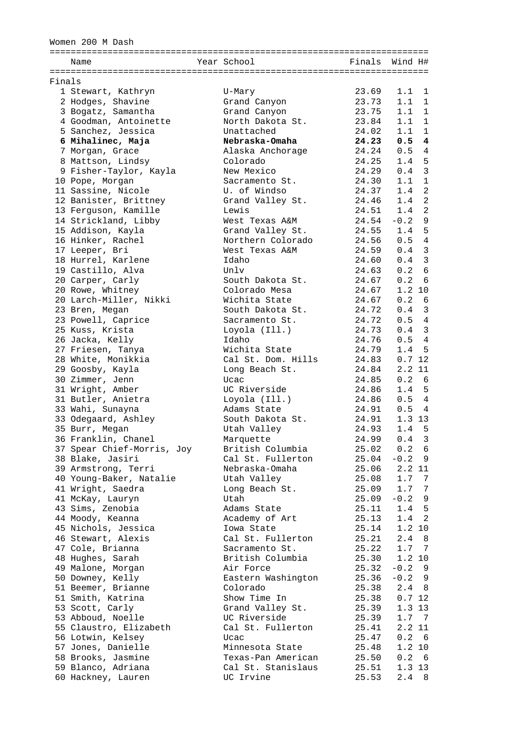Women 200 M Dash

|        | Name                       | Year School        |       | Finals Wind H#      |
|--------|----------------------------|--------------------|-------|---------------------|
|        |                            |                    |       |                     |
| Finals |                            |                    |       |                     |
|        | 1 Stewart, Kathryn         | U-Mary             | 23.69 | 1.1<br>1            |
|        | 2 Hodges, Shavine          | Grand Canyon       | 23.73 | 1.1<br>1            |
|        | 3 Bogatz, Samantha         | Grand Canyon       | 23.75 | $1.1 \quad 1$       |
|        | 4 Goodman, Antoinette      | North Dakota St.   | 23.84 | $1.1 \quad 1$       |
|        | 5 Sanchez, Jessica         | Unattached         | 24.02 | 1.1<br>1            |
|        | 6 Mihalinec, Maja          | Nebraska-Omaha     | 24.23 | 0.54                |
|        | 7 Morgan, Grace            | Alaska Anchorage   | 24.24 | 0.54                |
|        | 8 Mattson, Lindsy          | Colorado           | 24.25 | 1.4 <sub>5</sub>    |
|        | 9 Fisher-Taylor, Kayla     | New Mexico         | 24.29 | 0.4 <sub>3</sub>    |
|        | 10 Pope, Morgan            | Sacramento St.     | 24.30 | $\mathbf{1}$<br>1.1 |
|        | 11 Sassine, Nicole         | U. of Windso       | 24.37 | 2<br>1.4            |
|        | 12 Banister, Brittney      | Grand Valley St.   | 24.46 | 2<br>1.4            |
|        | 13 Ferguson, Kamille       | Lewis              | 24.51 | 2<br>1.4            |
|        | 14 Strickland, Libby       | West Texas A&M     | 24.54 | $-0.2$<br>9         |
|        | 15 Addison, Kayla          | Grand Valley St.   | 24.55 | 1.4 <sub>5</sub>    |
|        | 16 Hinker, Rachel          | Northern Colorado  | 24.56 | 0.54                |
|        | 17 Leeper, Bri             | West Texas A&M     | 24.59 | 0.4 <sub>3</sub>    |
|        | 18 Hurrel, Karlene         | Idaho              | 24.60 | $0.4$ 3             |
|        | 19 Castillo, Alva          | Unlv               | 24.63 | 0.2<br>6            |
|        | 20 Carper, Carly           | South Dakota St.   | 24.67 | 0.2<br>6            |
|        | 20 Rowe, Whitney           | Colorado Mesa      | 24.67 | 1.2 10              |
|        | 20 Larch-Miller, Nikki     | Wichita State      | 24.67 | 0.2 6               |
|        | 23 Bren, Megan             | South Dakota St.   | 24.72 | 0.4 <sub>3</sub>    |
|        | 23 Powell, Caprice         | Sacramento St.     | 24.72 | 0.54                |
|        | 25 Kuss, Krista            | Loyola (Ill.)      | 24.73 | 0.4 <sub>3</sub>    |
|        | 26 Jacka, Kelly            | Idaho              | 24.76 | 0.54                |
|        | 27 Friesen, Tanya          | Wichita State      | 24.79 | 1.4<br>5            |
|        | 28 White, Monikkia         | Cal St. Dom. Hills | 24.83 | 0.712               |
|        | 29 Goosby, Kayla           | Long Beach St.     | 24.84 | 2.2 11              |
|        | 30 Zimmer, Jenn            | Ucac               | 24.85 | 0.2 6               |
|        | 31 Wright, Amber           | UC Riverside       | 24.86 | 1.4 <sub>5</sub>    |
|        | 31 Butler, Anietra         | Loyola (Ill.)      | 24.86 | 0.54                |
|        | 33 Wahi, Sunayna           | Adams State        | 24.91 | 0.54                |
|        | 33 Odegaard, Ashley        | South Dakota St.   | 24.91 | 1.3 13              |
|        | 35 Burr, Megan             | Utah Valley        | 24.93 | 1.4 <sub>5</sub>    |
|        | 36 Franklin, Chanel        | Marquette          | 24.99 | $0.4-3$             |
|        | 37 Spear Chief-Morris, Joy | British Columbia   | 25.02 | 0.2 6               |
|        | 38 Blake, Jasiri           | Cal St. Fullerton  | 25.04 | $-0.2$ 9            |
|        | 39 Armstrong, Terri        | Nebraska-Omaha     | 25.06 | 2.2 11              |
|        | 40 Young-Baker, Natalie    | Utah Valley        | 25.08 | 1.7 <sub>7</sub>    |
|        | 41 Wright, Saedra          | Long Beach St.     | 25.09 | 1.7 <sub>7</sub>    |
|        | 41 McKay, Lauryn           | Utah               | 25.09 | $-0.2$ 9            |
|        | 43 Sims, Zenobia           | Adams State        | 25.11 | 1.4 <sub>5</sub>    |
|        | 44 Moody, Keanna           | Academy of Art     | 25.13 | $1.4 \quad 2$       |
|        | 45 Nichols, Jessica        | Iowa State         | 25.14 | 1.2 10              |
|        | 46 Stewart, Alexis         | Cal St. Fullerton  | 25.21 | 2.4<br>- 8          |
|        | 47 Cole, Brianna           | Sacramento St.     | 25.22 | 1.7 <sub>7</sub>    |
|        | 48 Hughes, Sarah           | British Columbia   | 25.30 | 1.2 10              |
|        | 49 Malone, Morgan          | Air Force          | 25.32 | $-0.2$ 9            |
|        | 50 Downey, Kelly           | Eastern Washington | 25.36 | $-0.2$ 9            |
|        | 51 Beemer, Brianne         | Colorado           | 25.38 | $2.4 \quad 8$       |
|        | 51 Smith, Katrina          | Show Time In       | 25.38 | 0.712               |
|        | 53 Scott, Carly            | Grand Valley St.   | 25.39 | 1.3 13              |
|        | 53 Abboud, Noelle          | UC Riverside       | 25.39 | 1.7 <sub>7</sub>    |
|        | 55 Claustro, Elizabeth     | Cal St. Fullerton  | 25.41 | 2.211               |
|        | 56 Lotwin, Kelsey          | Ucac               | 25.47 | 0.2 6               |
|        | 57 Jones, Danielle         | Minnesota State    | 25.48 | 1.2 10              |
|        | 58 Brooks, Jasmine         | Texas-Pan American | 25.50 | 0.2 6               |
|        | 59 Blanco, Adriana         | Cal St. Stanislaus | 25.51 | $1.3$ 13            |
|        | 60 Hackney, Lauren         | UC Irvine          | 25.53 | $2.4 \quad 8$       |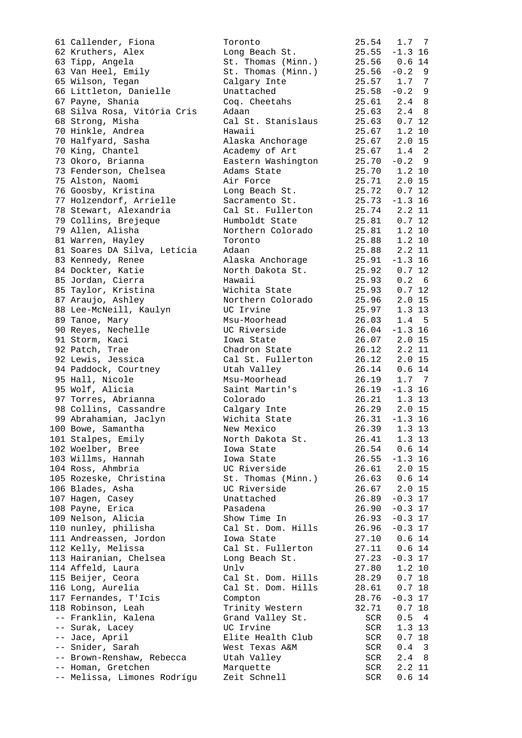| 61 Callender, Fiona                    | Toronto                        | 25.54          | 1.7 <sub>7</sub>             |
|----------------------------------------|--------------------------------|----------------|------------------------------|
| 62 Kruthers, Alex                      | Long Beach St.                 |                | $25.55 - 1.3$ 16             |
| 63 Tipp, Angela                        | St. Thomas (Minn.)             |                | 25.56 0.6 14                 |
| 63 Van Heel, Emily                     | St. Thomas (Minn.)             | 25.56          | $-0.2$ 9                     |
| 65 Wilson, Tegan                       | Calgary Inte                   |                | 25.57 1.7 7                  |
| 66 Littleton, Danielle                 | Unattached                     | 25.58          | $-0.2$ 9                     |
| 67 Payne, Shania                       | Coq. Cheetahs                  |                | $25.61$ $2.4$ 8              |
| 68 Silva Rosa, Vitória Cris            | Adaan                          | 25.63          | $2.4 \quad 8$                |
| 68 Strong, Misha                       | Cal St. Stanislaus             | 25.63          | 0.712                        |
| 70 Hinkle, Andrea                      | Hawaii                         | 25.67          | 1.2 10                       |
| 70 Halfyard, Sasha                     | Alaska Anchorage               | 25.67          | $2.0$ 15                     |
| 70 King, Chantel                       | Academy of Art                 | 25.67          | $1.4 \quad 2$                |
| 73 Okoro, Brianna                      | Eastern Washington             |                | $25.70 - 0.2$ 9              |
| 73 Fenderson, Chelsea                  | Adams State                    |                | 25.70 1.2 10                 |
| 75 Alston, Naomi                       | Air Force                      |                | 25.71 2.0 15                 |
| 76 Goosby, Kristina                    | Long Beach St.                 | 25.72          | 0.712                        |
| 77 Holzendorf, Arrielle                | Sacramento St.                 |                | $25.73 - 1.3$ 16             |
| 78 Stewart, Alexandria                 | Cal St. Fullerton              | 25.74          | 2.211                        |
| 79 Collins, Brejeque                   | Humboldt State                 | 25.81          | 0.712                        |
| 79 Allen, Alisha                       | Northern Colorado              | 25.81          | 1.2 10                       |
| 81 Warren, Hayley                      | Toronto                        | 25.88<br>25.88 | 1.2 10                       |
| 81 Soares DA Silva, Letícia            | Adaan                          | 25.88          | 2.211                        |
| 83 Kennedy, Renee                      | Alaska Anchorage               | 25.91          | $-1.3$ 16                    |
| 84 Dockter, Katie                      | North Dakota St.               | 25.92          | 0.712                        |
| 85 Jordan, Cierra                      | Hawaii                         | 25.93          | $0.2 \quad 6$                |
| 85 Taylor, Kristina                    | Wichita State                  | 25.93          | 0.712                        |
| 87 Araujo, Ashley                      | Northern Colorado<br>UC Irvine | 25.96<br>25.97 | $2.0$ 15                     |
| 88 Lee-McNeill, Kaulyn                 | Msu-Moorhead                   | 26.03          | $1.3$ 13<br>1.4 <sub>5</sub> |
| 89 Tanoe, Mary<br>90 Reyes, Nechelle   | UC Riverside                   |                | $26.04 - 1.3$ 16             |
| 91 Storm, Kaci                         | Iowa State                     |                | 26.07 2.0 15                 |
| 92 Patch, Trae                         | Chadron State                  | 26.12          | 2.211                        |
| 92 Lewis, Jessica                      | Cal St. Fullerton              | 26.12          | 2.015                        |
| 94 Paddock, Courtney                   | Utah Valley                    | 26.14          | 0.6 14                       |
| 95 Hall, Nicole                        | Msu-Moorhead                   | 26.19          | 1.7 <sub>7</sub>             |
| 95 Wolf, Alicia                        | Saint Martin's                 |                | $26.19 - 1.316$              |
| 97 Torres, Abrianna                    | Colorado                       | 26.21          | 1.3 13                       |
| 98 Collins, Cassandre                  | Calgary Inte                   |                | 26.29 2.0 15                 |
| 99 Abrahamian, Jaclyn                  | Wichita State                  |                | $26.31 - 1.3$ 16             |
| 100 Bowe, Samantha                     | New Mexico                     |                | 26.39 1.3 13                 |
| 101 Stalpes, Emily                     | North Dakota St.               | 26.41          | 1.3 13                       |
| 102 Woelber, Bree                      | Iowa State                     | 26.54          | 0.6 14                       |
| 103 Willms, Hannah                     | Iowa State                     |                | $26.55 - 1.3$ 16             |
| 104 Ross, Ahmbria                      | UC Riverside                   |                | 26.61 2.0 15                 |
| 105 Rozeske, Christina                 | St. Thomas (Minn.)             | 26.63          | $0.6$ 14                     |
| 106 Blades, Asha                       | UC Riverside                   | 26.67          | $2.0$ 15                     |
| 107 Hagen, Casey                       | Unattached                     | 26.89          | $-0.3$ 17                    |
| 108 Payne, Erica                       | Pasadena                       | 26.90          | $-0.3$ 17                    |
| 109 Nelson, Alicia                     | Show Time In                   | 26.93          | $-0.3$ 17                    |
| 110 nunley, philisha                   | Cal St. Dom. Hills             | 26.96          | $-0.3$ 17                    |
| 111 Andreassen, Jordon                 | Iowa State                     | 27.10          | $0.6\;14$                    |
| 112 Kelly, Melissa                     | Cal St. Fullerton              | 27.11          | 0.6 14                       |
| 113 Hairanian, Chelsea                 | Long Beach St.                 | 27.23          | $-0.3$ 17                    |
| 114 Affeld, Laura                      | Unlv                           | 27.80          | 1.2 10                       |
| 115 Beijer, Ceora                      | Cal St. Dom. Hills             | 28.29          | 0.718                        |
| 116 Long, Aurelia                      | Cal St. Dom. Hills             | 28.61          | 0.718                        |
| 117 Fernandes, T'Icis                  | Compton                        | 28.76          | $-0.3$ 17                    |
| 118 Robinson, Leah                     | Trinity Western                | 32.71          | 0.718                        |
| -- Franklin, Kalena<br>-- Surak, Lacey | Grand Valley St.<br>UC Irvine  | SCR<br>SCR     | 0.54<br>$1.3$ 13             |
| -- Jace, April                         | Elite Health Club              | SCR            | 0.718                        |
| -- Snider, Sarah                       | West Texas A&M                 | SCR            | $0.4 \quad 3$                |
| -- Brown-Renshaw, Rebecca              | Utah Valley                    | SCR            | $2.4 \quad 8$                |
| -- Homan, Gretchen                     | Marquette                      | SCR            | 2.211                        |
| -- Melissa, Limones Rodrígu            | Zeit Schnell                   | SCR            | 0.6 14                       |